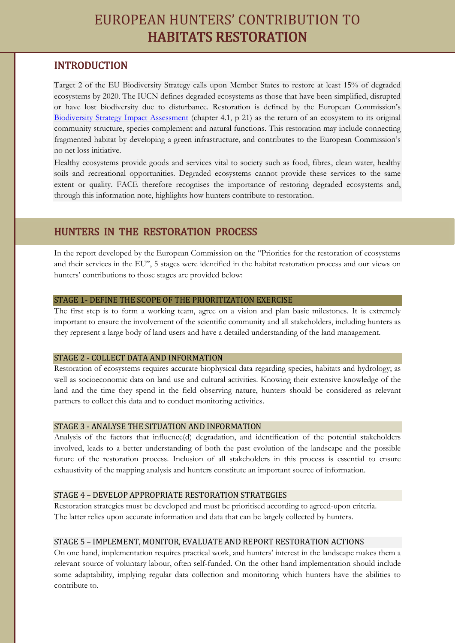# EUROPEAN HUNTERS' CONTRIBUTION TO HABITATS RESTORATION

## INTRODUCTION

j

Target 2 of the EU Biodiversity Strategy calls upon Member States to restore at least 15% of degraded ecosystems by 2020. The IUCN defines degraded ecosystems as those that have been simplified, disrupted or have lost biodiversity due to disturbance. Restoration is defined by the European Commission's [Biodiversity Strategy Impact Assessment](http://ec.europa.eu/environment/nature/biodiversity/comm2006/pdf/2020/1_EN_impact_assesment_part1_v4.pdf) (chapter 4.1, p 21) as the return of an ecosystem to its original community structure, species complement and natural functions. This restoration may include connecting fragmented habitat by developing a green infrastructure, and contributes to the European Commission's no net loss initiative.

Healthy ecosystems provide goods and services vital to society such as food, fibres, clean water, healthy soils and recreational opportunities. Degraded ecosystems cannot provide these services to the same extent or quality. FACE therefore recognises the importance of restoring degraded ecosystems and, through this information note, highlights how hunters contribute to restoration.

### HUNTERS IN THE RESTORATION PROCESS

In the report developed by the European Commission on the "Priorities for the restoration of ecosystems and their services in the EU", 5 stages were identified in the habitat restoration process and our views on hunters' contributions to those stages are provided below:

#### STAGE 1- DEFINE THE SCOPE OF THE PRIORITIZATION EXERCISE

The first step is to form a working team, agree on a vision and plan basic milestones. It is extremely important to ensure the involvement of the scientific community and all stakeholders, including hunters as they represent a large body of land users and have a detailed understanding of the land management.

#### STAGE 2 - COLLECT DATA AND INFORMATION

Restoration of ecosystems requires accurate biophysical data regarding species, habitats and hydrology; as well as socioeconomic data on land use and cultural activities. Knowing their extensive knowledge of the land and the time they spend in the field observing nature, hunters should be considered as relevant partners to collect this data and to conduct monitoring activities.

#### STAGE 3 - ANALYSE THE SITUATION AND INFORMATION

Analysis of the factors that influence(d) degradation, and identification of the potential stakeholders involved, leads to a better understanding of both the past evolution of the landscape and the possible future of the restoration process. Inclusion of all stakeholders in this process is essential to ensure exhaustivity of the mapping analysis and hunters constitute an important source of information.

#### STAGE 4 – DEVELOP APPROPRIATE RESTORATION STRATEGIES

Restoration strategies must be developed and must be prioritised according to agreed-upon criteria. The latter relies upon accurate information and data that can be largely collected by hunters.

#### STAGE 5 – IMPLEMENT, MONITOR, EVALUATE AND REPORT RESTORATION ACTIONS

On one hand, implementation requires practical work, and hunters' interest in the landscape makes them a relevant source of voluntary labour, often self-funded. On the other hand implementation should include some adaptability, implying regular data collection and monitoring which hunters have the abilities to contribute to.